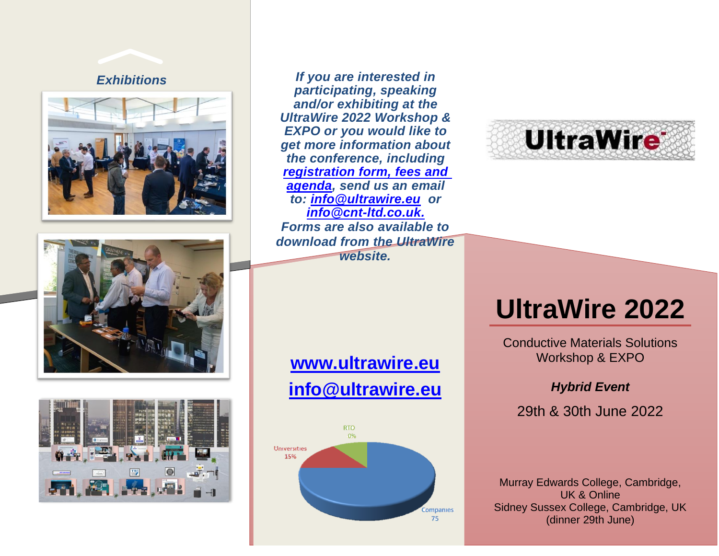







*Exhibitions If you are interested in participating, speaking and/or exhibiting at the UltraWire 2022 Workshop & EXPO or you would like to get more information about the conference, including [registration form, fees and](http://www.ultrawire.eu/workshops)  [agenda,](http://www.ultrawire.eu/workshops) send us an email to: [info@ultrawire.eu](mailto:info@ultrawire.eu) or [info@cnt-ltd.co.uk.](mailto:info@cnt-ltd.co.uk) Forms are also available to download from the UltraWire website.*

# **[www.ultrawire.eu](http://www.ultrawire.eu/)**

# **[info@ultrawire.eu](mailto:info@ultrawire.eu)**





# **UltraWire 2022**

Conductive Materials Solutions Workshop & EXPO

#### *Hybrid Event*

29th & 30th June 2022

Murray Edwards College, Cambridge, UK & Online Sidney Sussex College, Cambridge, UK (dinner 29th June)